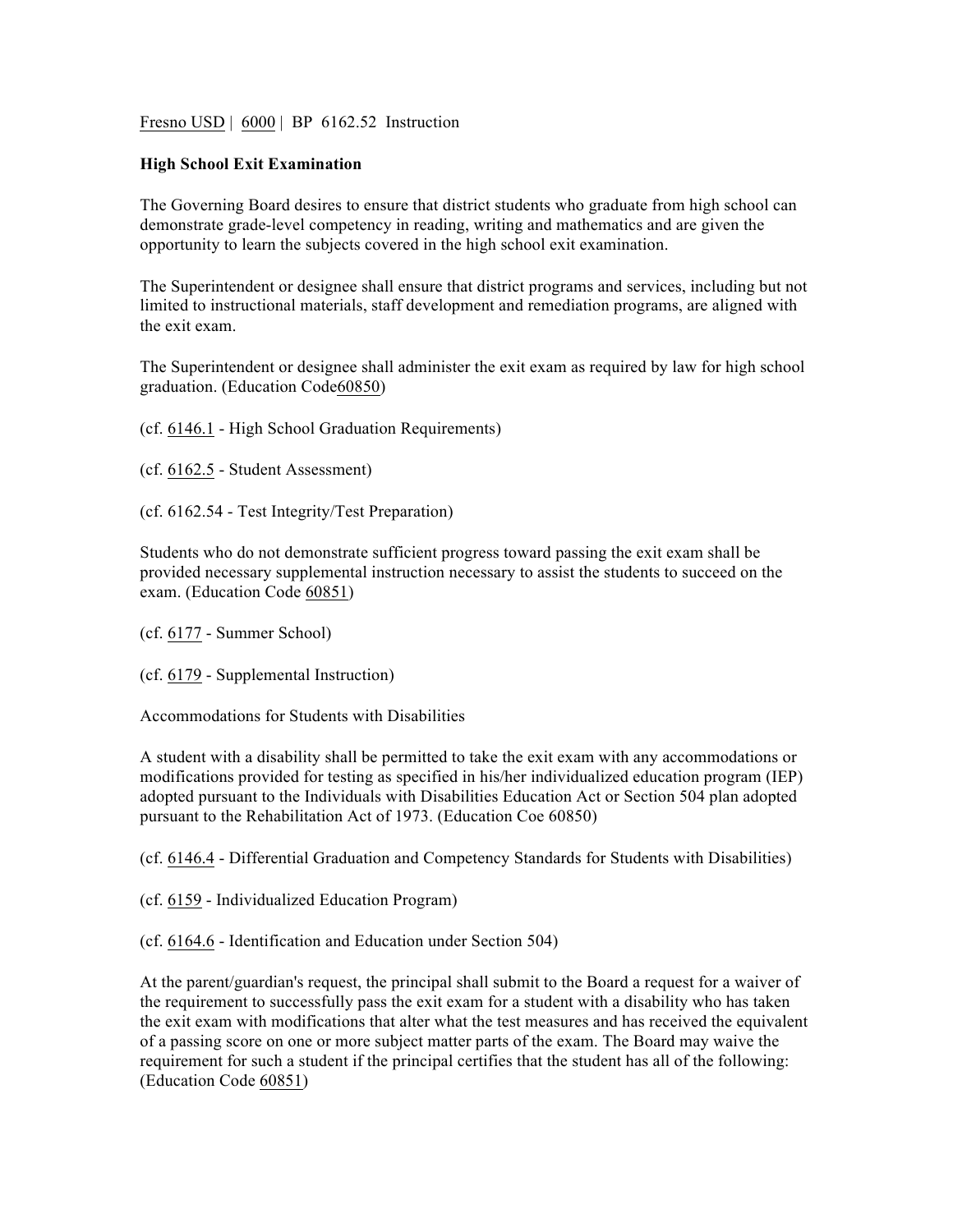Fresno USD | 6000 | BP 6162.52 Instruction

## **High School Exit Examination**

The Governing Board desires to ensure that district students who graduate from high school can demonstrate grade-level competency in reading, writing and mathematics and are given the opportunity to learn the subjects covered in the high school exit examination.

The Superintendent or designee shall ensure that district programs and services, including but not limited to instructional materials, staff development and remediation programs, are aligned with the exit exam.

The Superintendent or designee shall administer the exit exam as required by law for high school graduation. (Education Code60850)

(cf. 6146.1 - High School Graduation Requirements)

- (cf. 6162.5 Student Assessment)
- (cf. 6162.54 Test Integrity/Test Preparation)

Students who do not demonstrate sufficient progress toward passing the exit exam shall be provided necessary supplemental instruction necessary to assist the students to succeed on the exam. (Education Code 60851)

(cf. 6177 - Summer School)

(cf. 6179 - Supplemental Instruction)

Accommodations for Students with Disabilities

A student with a disability shall be permitted to take the exit exam with any accommodations or modifications provided for testing as specified in his/her individualized education program (IEP) adopted pursuant to the Individuals with Disabilities Education Act or Section 504 plan adopted pursuant to the Rehabilitation Act of 1973. (Education Coe 60850)

(cf. 6146.4 - Differential Graduation and Competency Standards for Students with Disabilities)

(cf. 6159 - Individualized Education Program)

(cf. 6164.6 - Identification and Education under Section 504)

At the parent/guardian's request, the principal shall submit to the Board a request for a waiver of the requirement to successfully pass the exit exam for a student with a disability who has taken the exit exam with modifications that alter what the test measures and has received the equivalent of a passing score on one or more subject matter parts of the exam. The Board may waive the requirement for such a student if the principal certifies that the student has all of the following: (Education Code 60851)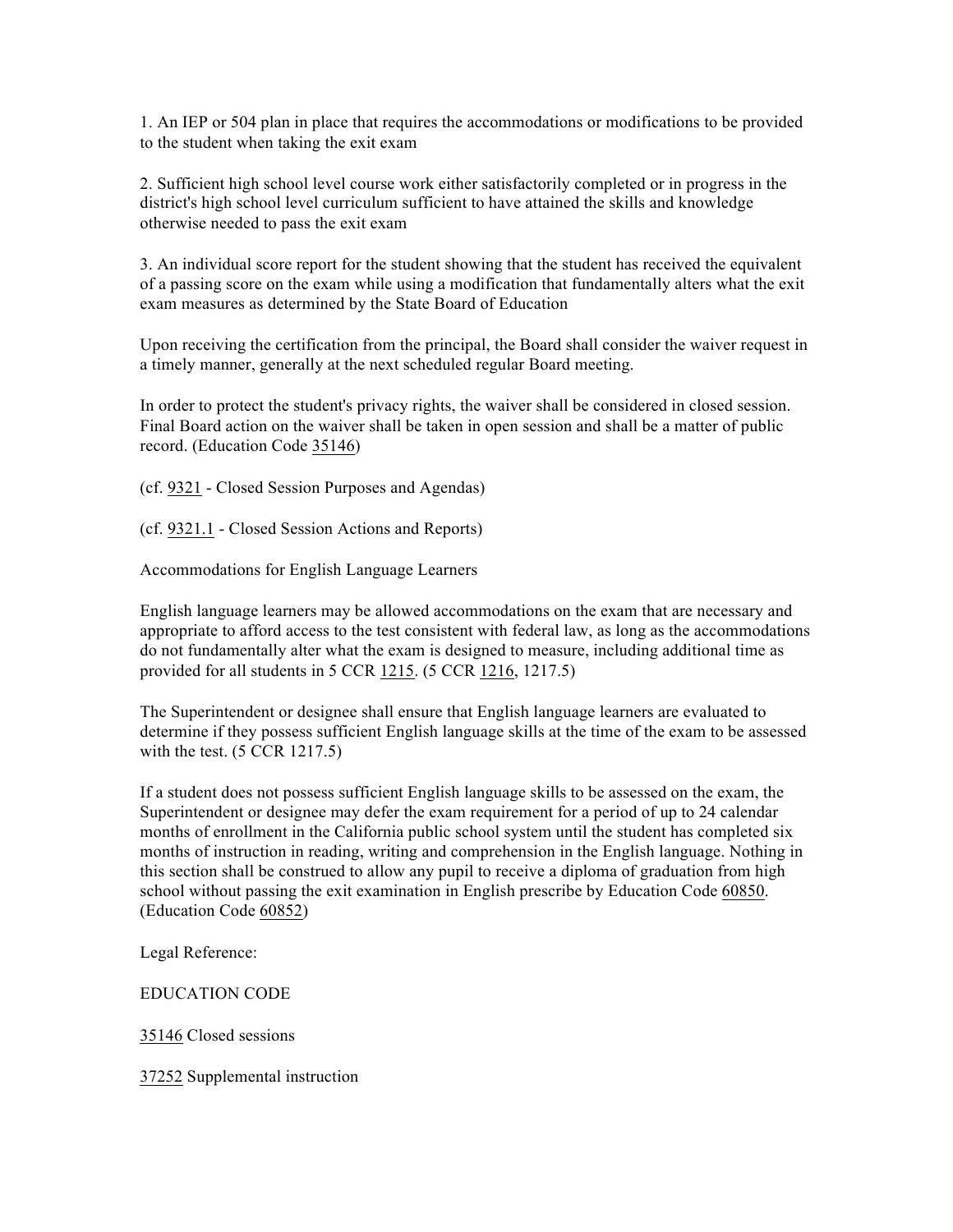1. An IEP or 504 plan in place that requires the accommodations or modifications to be provided to the student when taking the exit exam

2. Sufficient high school level course work either satisfactorily completed or in progress in the district's high school level curriculum sufficient to have attained the skills and knowledge otherwise needed to pass the exit exam

3. An individual score report for the student showing that the student has received the equivalent of a passing score on the exam while using a modification that fundamentally alters what the exit exam measures as determined by the State Board of Education

Upon receiving the certification from the principal, the Board shall consider the waiver request in a timely manner, generally at the next scheduled regular Board meeting.

In order to protect the student's privacy rights, the waiver shall be considered in closed session. Final Board action on the waiver shall be taken in open session and shall be a matter of public record. (Education Code 35146)

(cf. 9321 - Closed Session Purposes and Agendas)

(cf. 9321.1 - Closed Session Actions and Reports)

Accommodations for English Language Learners

English language learners may be allowed accommodations on the exam that are necessary and appropriate to afford access to the test consistent with federal law, as long as the accommodations do not fundamentally alter what the exam is designed to measure, including additional time as provided for all students in 5 CCR 1215. (5 CCR 1216, 1217.5)

The Superintendent or designee shall ensure that English language learners are evaluated to determine if they possess sufficient English language skills at the time of the exam to be assessed with the test. (5 CCR 1217.5)

If a student does not possess sufficient English language skills to be assessed on the exam, the Superintendent or designee may defer the exam requirement for a period of up to 24 calendar months of enrollment in the California public school system until the student has completed six months of instruction in reading, writing and comprehension in the English language. Nothing in this section shall be construed to allow any pupil to receive a diploma of graduation from high school without passing the exit examination in English prescribe by Education Code 60850. (Education Code 60852)

Legal Reference:

EDUCATION CODE

35146 Closed sessions

37252 Supplemental instruction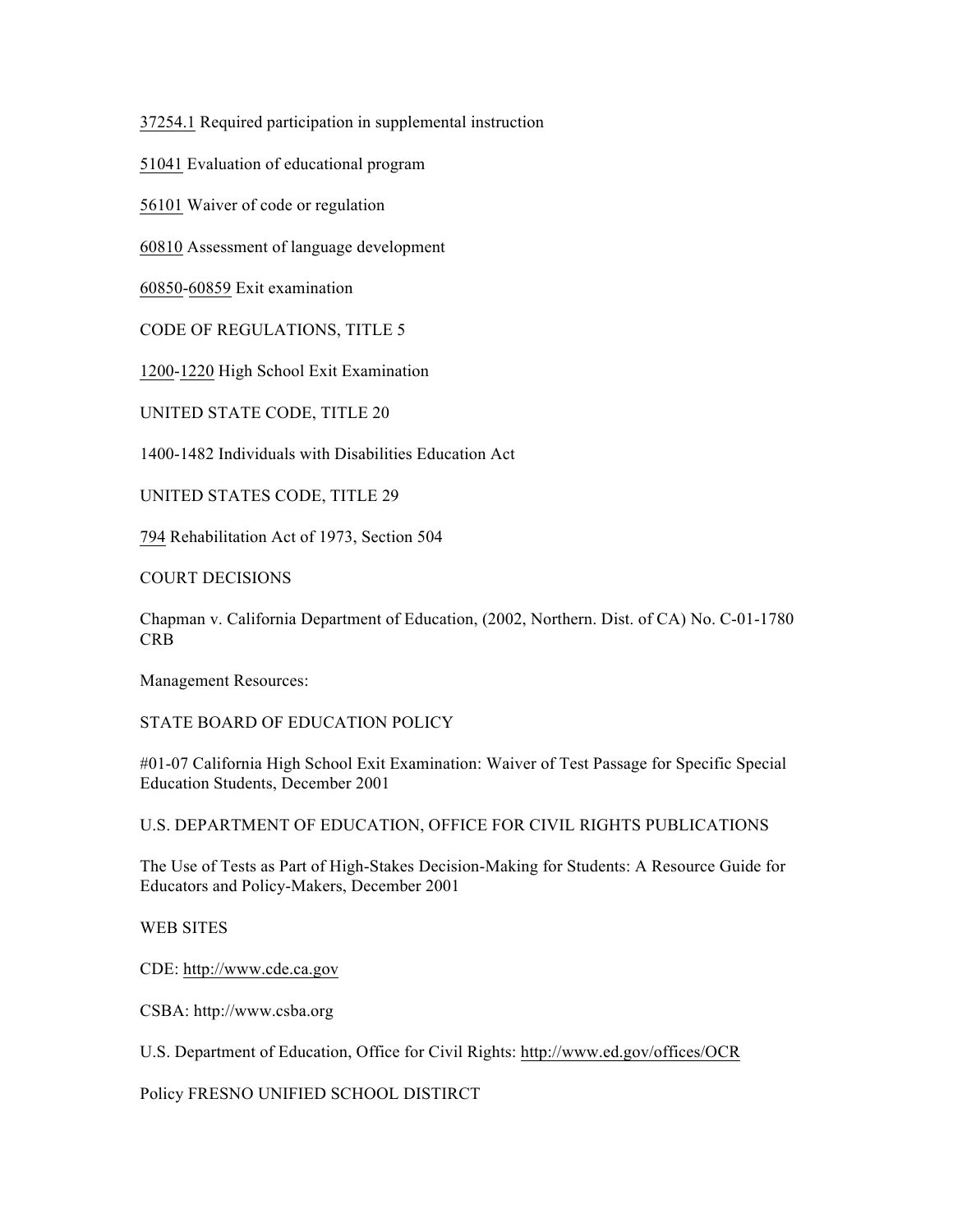37254.1 Required participation in supplemental instruction

51041 Evaluation of educational program

56101 Waiver of code or regulation

60810 Assessment of language development

60850-60859 Exit examination

CODE OF REGULATIONS, TITLE 5

1200-1220 High School Exit Examination

UNITED STATE CODE, TITLE 20

1400-1482 Individuals with Disabilities Education Act

UNITED STATES CODE, TITLE 29

794 Rehabilitation Act of 1973, Section 504

COURT DECISIONS

Chapman v. California Department of Education, (2002, Northern. Dist. of CA) No. C-01-1780 CRB

Management Resources:

STATE BOARD OF EDUCATION POLICY

#01-07 California High School Exit Examination: Waiver of Test Passage for Specific Special Education Students, December 2001

U.S. DEPARTMENT OF EDUCATION, OFFICE FOR CIVIL RIGHTS PUBLICATIONS

The Use of Tests as Part of High-Stakes Decision-Making for Students: A Resource Guide for Educators and Policy-Makers, December 2001

WEB SITES

CDE: http://www.cde.ca.gov

CSBA: http://www.csba.org

U.S. Department of Education, Office for Civil Rights: http://www.ed.gov/offices/OCR

Policy FRESNO UNIFIED SCHOOL DISTIRCT